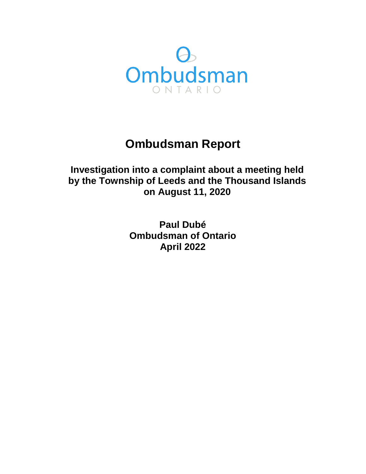

# **Ombudsman Report**

**Investigation into a complaint about a meeting held by the Township of Leeds and the Thousand Islands on August 11, 2020** 

> **Paul Dubé Ombudsman of Ontario April 2022**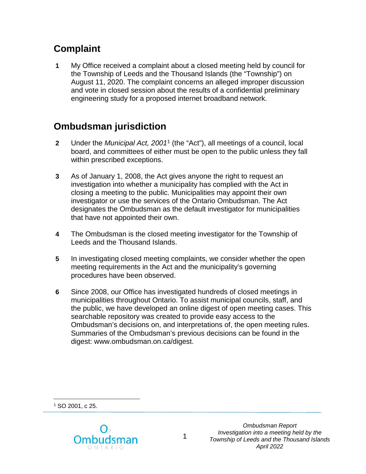# **Complaint**

**1** My Office received a complaint about a closed meeting held by council for the Township of Leeds and the Thousand Islands (the "Township") on August 11, 2020. The complaint concerns an alleged improper discussion and vote in closed session about the results of a confidential preliminary engineering study for a proposed internet broadband network.

# **Ombudsman jurisdiction**

- **2** Under the *Municipal Act, 2001*[1](#page-1-0) (the "Act"), all meetings of a council, local board, and committees of either must be open to the public unless they fall within prescribed exceptions.
- **3** As of January 1, 2008, the Act gives anyone the right to request an investigation into whether a municipality has complied with the Act in closing a meeting to the public. Municipalities may appoint their own investigator or use the services of the Ontario Ombudsman. The Act designates the Ombudsman as the default investigator for municipalities that have not appointed their own.
- **4** The Ombudsman is the closed meeting investigator for the Township of Leeds and the Thousand Islands.
- **5** In investigating closed meeting complaints, we consider whether the open meeting requirements in the Act and the municipality's governing procedures have been observed.
- **6** Since 2008, our Office has investigated hundreds of closed meetings in municipalities throughout Ontario. To assist municipal councils, staff, and the public, we have developed an online digest of open meeting cases. This searchable repository was created to provide easy access to the Ombudsman's decisions on, and interpretations of, the open meeting rules. Summaries of the Ombudsman's previous decisions can be found in the digest: www.ombudsman.on.ca/digest.

<span id="page-1-0"></span> $\overline{a}$ <sup>1</sup> SO 2001, c 25.



*Ombudsman Report Investigation into a meeting held by the Township of Leeds and the Thousand Islands April 2022*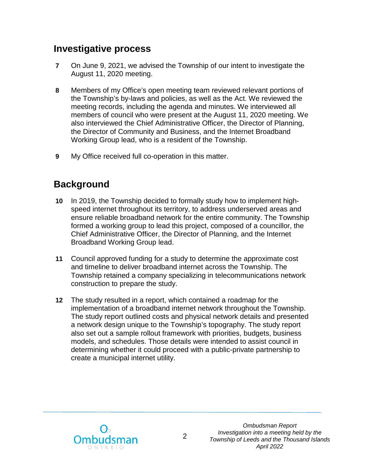## **Investigative process**

- **7** On June 9, 2021, we advised the Township of our intent to investigate the August 11, 2020 meeting.
- **8** Members of my Office's open meeting team reviewed relevant portions of the Township's by-laws and policies, as well as the Act. We reviewed the meeting records, including the agenda and minutes. We interviewed all members of council who were present at the August 11, 2020 meeting. We also interviewed the Chief Administrative Officer, the Director of Planning, the Director of Community and Business, and the Internet Broadband Working Group lead, who is a resident of the Township.
- **9** My Office received full co-operation in this matter.

## **Background**

- **10** In 2019, the Township decided to formally study how to implement highspeed internet throughout its territory, to address underserved areas and ensure reliable broadband network for the entire community. The Township formed a working group to lead this project, composed of a councillor, the Chief Administrative Officer, the Director of Planning, and the Internet Broadband Working Group lead.
- **11** Council approved funding for a study to determine the approximate cost and timeline to deliver broadband internet across the Township. The Township retained a company specializing in telecommunications network construction to prepare the study.
- **12** The study resulted in a report, which contained a roadmap for the implementation of a broadband internet network throughout the Township. The study report outlined costs and physical network details and presented a network design unique to the Township's topography. The study report also set out a sample rollout framework with priorities, budgets, business models, and schedules. Those details were intended to assist council in determining whether it could proceed with a public-private partnership to create a municipal internet utility.

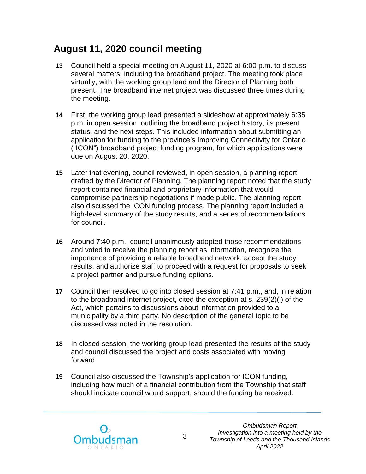## **August 11, 2020 council meeting**

- **13** Council held a special meeting on August 11, 2020 at 6:00 p.m. to discuss several matters, including the broadband project. The meeting took place virtually, with the working group lead and the Director of Planning both present. The broadband internet project was discussed three times during the meeting.
- **14** First, the working group lead presented a slideshow at approximately 6:35 p.m. in open session, outlining the broadband project history, its present status, and the next steps. This included information about submitting an application for funding to the province's Improving Connectivity for Ontario ("ICON") broadband project funding program, for which applications were due on August 20, 2020.
- **15** Later that evening, council reviewed, in open session, a planning report drafted by the Director of Planning. The planning report noted that the study report contained financial and proprietary information that would compromise partnership negotiations if made public. The planning report also discussed the ICON funding process. The planning report included a high-level summary of the study results, and a series of recommendations for council.
- **16** Around 7:40 p.m., council unanimously adopted those recommendations and voted to receive the planning report as information, recognize the importance of providing a reliable broadband network, accept the study results, and authorize staff to proceed with a request for proposals to seek a project partner and pursue funding options.
- **17** Council then resolved to go into closed session at 7:41 p.m., and, in relation to the broadband internet project, cited the exception at s. 239(2)(i) of the Act, which pertains to discussions about information provided to a municipality by a third party. No description of the general topic to be discussed was noted in the resolution.
- **18** In closed session, the working group lead presented the results of the study and council discussed the project and costs associated with moving forward.
- **19** Council also discussed the Township's application for ICON funding, including how much of a financial contribution from the Township that staff should indicate council would support, should the funding be received.

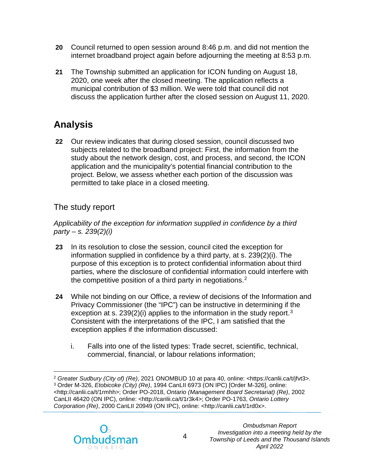- **20** Council returned to open session around 8:46 p.m. and did not mention the internet broadband project again before adjourning the meeting at 8:53 p.m.
- **21** The Township submitted an application for ICON funding on August 18, 2020, one week after the closed meeting. The application reflects a municipal contribution of \$3 million. We were told that council did not discuss the application further after the closed session on August 11, 2020.

# **Analysis**

**22** Our review indicates that during closed session, council discussed two subjects related to the broadband project: First, the information from the study about the network design, cost, and process, and second, the ICON application and the municipality's potential financial contribution to the project. Below, we assess whether each portion of the discussion was permitted to take place in a closed meeting.

### The study report

*Applicability of the exception for information supplied in confidence by a third party – s. 239(2)(i)* 

- **23** In its resolution to close the session, council cited the exception for information supplied in confidence by a third party, at s. 239(2)(i). The purpose of this exception is to protect confidential information about third parties, where the disclosure of confidential information could interfere with the competitive position of a third party in negotiations. $2$
- **24** While not binding on our Office, a review of decisions of the Information and Privacy Commissioner (the "IPC") can be instructive in determining if the exception at s. 2[3](#page-4-1)9(2)(i) applies to the information in the study report.<sup>3</sup> Consistent with the interpretations of the IPC, I am satisfied that the exception applies if the information discussed:
	- i. Falls into one of the listed types: Trade secret, scientific, technical, commercial, financial, or labour relations information;

<span id="page-4-1"></span><span id="page-4-0"></span> $\overline{a}$ <sup>2</sup> *Greater Sudbury (City of) (Re)*, 2021 ONOMBUD 10 at para 40, online: <https://canlii.ca/t/jfvt3>. <sup>3</sup> Order M-326, *Etobicoke (City) (Re)*, 1994 CanLII 6973 (ON IPC) [Order M-326], online: <http://canlii.ca/t/1rmhh>; Order PO-2018, *Ontario (Management Board Secretariat) (Re)*, 2002 CanLII 46420 (ON IPC), online: <http://canlii.ca/t/1r3k4>; Order PO-1763, *Ontario Lottery Corporation (Re)*, 2000 CanLII 20949 (ON IPC), online: <http://canlii.ca/t/1rd0x>.

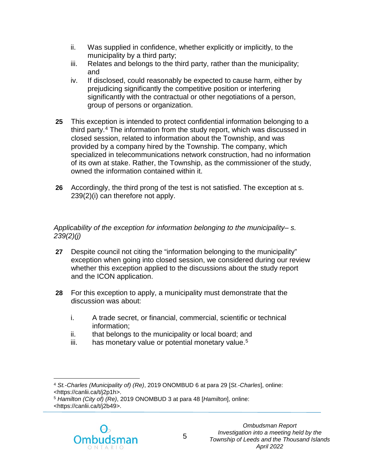- ii. Was supplied in confidence, whether explicitly or implicitly, to the municipality by a third party;
- iii. Relates and belongs to the third party, rather than the municipality; and
- iv. If disclosed, could reasonably be expected to cause harm, either by prejudicing significantly the competitive position or interfering significantly with the contractual or other negotiations of a person, group of persons or organization.
- **25** This exception is intended to protect confidential information belonging to a third party.<sup>4</sup> The information from the study report, which was discussed in closed session, related to information about the Township, and was provided by a company hired by the Township. The company, which specialized in telecommunications network construction, had no information of its own at stake. Rather, the Township, as the commissioner of the study, owned the information contained within it.
- **26** Accordingly, the third prong of the test is not satisfied. The exception at s. 239(2)(i) can therefore not apply.

#### *Applicability of the exception for information belonging to the municipality– s. 239(2)(j)*

- **27** Despite council not citing the "information belonging to the municipality" exception when going into closed session, we considered during our review whether this exception applied to the discussions about the study report and the ICON application.
- **28** For this exception to apply, a municipality must demonstrate that the discussion was about:
	- i. A trade secret, or financial, commercial, scientific or technical information;
	- ii. that belongs to the municipality or local board; and
	- $iii.$  has monetary value or potential monetary value.<sup>[5](#page-5-1)</sup>

<span id="page-5-1"></span><sup>5</sup> *Hamilton (City of) (Re)*, 2019 ONOMBUD 3 at para 48 [*Hamilton*], online: <https://canlii.ca/t/j2b49>.



<span id="page-5-0"></span> $\overline{a}$ <sup>4</sup> *St.-Charles (Municipality of) (Re)*, 2019 ONOMBUD 6 at para 29 [*St.-Charles*], online: <https://canlii.ca/t/j2p1h>.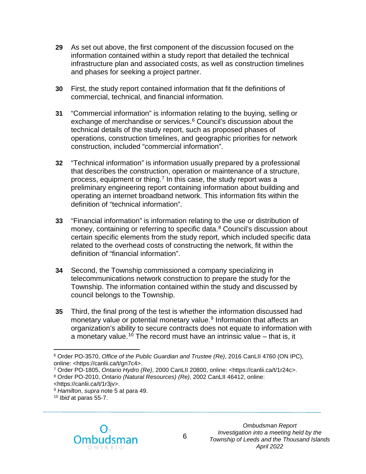- **29** As set out above, the first component of the discussion focused on the information contained within a study report that detailed the technical infrastructure plan and associated costs, as well as construction timelines and phases for seeking a project partner.
- **30** First, the study report contained information that fit the definitions of commercial, technical, and financial information.
- **31** "Commercial information" is information relating to the buying, selling or exchange of merchandise or services.<sup>6</sup> Council's discussion about the technical details of the study report, such as proposed phases of operations, construction timelines, and geographic priorities for network construction, included "commercial information".
- **32** "Technical information" is information usually prepared by a professional that describes the construction, operation or maintenance of a structure, process, equipment or thing.<sup>[7](#page-6-1)</sup> In this case, the study report was a preliminary engineering report containing information about building and operating an internet broadband network. This information fits within the definition of "technical information".
- **33** "Financial information" is information relating to the use or distribution of money, containing or referring to specific data.<sup>[8](#page-6-2)</sup> Council's discussion about certain specific elements from the study report, which included specific data related to the overhead costs of constructing the network, fit within the definition of "financial information".
- **34** Second, the Township commissioned a company specializing in telecommunications network construction to prepare the study for the Township. The information contained within the study and discussed by council belongs to the Township.
- **35** Third, the final prong of the test is whether the information discussed had monetary value or potential monetary value.<sup>[9](#page-6-3)</sup> Information that affects an organization's ability to secure contracts does not equate to information with a monetary value.<sup>10</sup> The record must have an intrinsic value  $-$  that is, it

<span id="page-6-4"></span><sup>10</sup> *Ibid* at paras 55-7.



<span id="page-6-0"></span> $\overline{a}$ <sup>6</sup> Order PO-3570, *Office of the Public Guardian and Trustee (Re)*, 2016 CanLII 4760 (ON IPC), online: <https://canlii.ca/t/gn7c4>.

<span id="page-6-1"></span><sup>7</sup> Order PO-1805, *Ontario Hydro (Re)*, 2000 CanLII 20800, online: <https://canlii.ca/t/1r24c>.

<span id="page-6-2"></span><sup>8</sup> Order PO-2010, *Ontario (Natural Resources) (Re)*, 2002 CanLII 46412, online:

<sup>&</sup>lt;https://canlii.ca/t/1r3jv>.

<span id="page-6-3"></span><sup>9</sup> *Hamilton*, *supra* note 5 at para 49.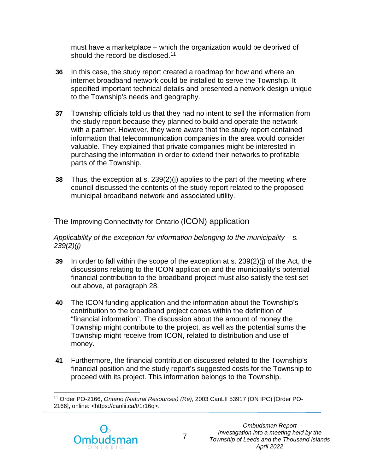must have a marketplace – which the organization would be deprived of should the record be disclosed.<sup>[11](#page-7-0)</sup>

- **36** In this case, the study report created a roadmap for how and where an internet broadband network could be installed to serve the Township. It specified important technical details and presented a network design unique to the Township's needs and geography.
- **37** Township officials told us that they had no intent to sell the information from the study report because they planned to build and operate the network with a partner. However, they were aware that the study report contained information that telecommunication companies in the area would consider valuable. They explained that private companies might be interested in purchasing the information in order to extend their networks to profitable parts of the Township.
- **38** Thus, the exception at s. 239(2)(j) applies to the part of the meeting where council discussed the contents of the study report related to the proposed municipal broadband network and associated utility.

The Improving Connectivity for Ontario (ICON) application

#### *Applicability of the exception for information belonging to the municipality – s. 239(2)(j)*

- **39** In order to fall within the scope of the exception at s. 239(2)(j) of the Act, the discussions relating to the ICON application and the municipality's potential financial contribution to the broadband project must also satisfy the test set out above, at paragraph 28.
- **40** The ICON funding application and the information about the Township's contribution to the broadband project comes within the definition of "financial information". The discussion about the amount of money the Township might contribute to the project, as well as the potential sums the Township might receive from ICON, related to distribution and use of money.
- **41** Furthermore, the financial contribution discussed related to the Township's financial position and the study report's suggested costs for the Township to proceed with its project. This information belongs to the Township.

<span id="page-7-0"></span> $\overline{a}$ <sup>11</sup> Order PO-2166, *Ontario (Natural Resources) (Re)*, 2003 CanLII 53917 (ON IPC) [Order PO-2166], online: <https://canlii.ca/t/1r16q>.

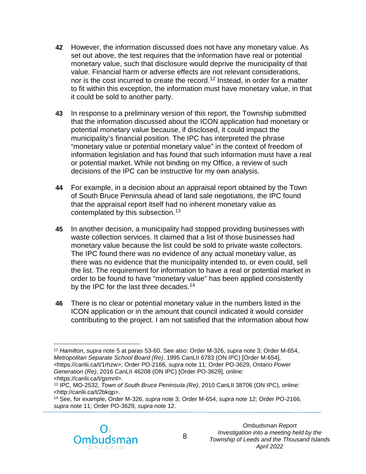- **42** However, the information discussed does not have any monetary value. As set out above, the test requires that the information have real or potential monetary value, such that disclosure would deprive the municipality of that value. Financial harm or adverse effects are not relevant considerations, nor is the cost incurred to create the record. [12](#page-8-0) Instead, in order for a matter to fit within this exception, the information must have monetary value, in that it could be sold to another party.
- **43** In response to a preliminary version of this report, the Township submitted that the information discussed about the ICON application had monetary or potential monetary value because, if disclosed, it could impact the municipality's financial position. The IPC has interpreted the phrase "monetary value or potential monetary value" in the context of freedom of information legislation and has found that such information must have a real or potential market. While not binding on my Office, a review of such decisions of the IPC can be instructive for my own analysis.
- **44** For example, in a decision about an appraisal report obtained by the Town of South Bruce Peninsula ahead of land sale negotiations, the IPC found that the appraisal report itself had no inherent monetary value as contemplated by this subsection.<sup>13</sup>
- **45** In another decision, a municipality had stopped providing businesses with waste collection services. It claimed that a list of those businesses had monetary value because the list could be sold to private waste collectors. The IPC found there was no evidence of any actual monetary value, as there was no evidence that the municipality intended to, or even could, sell the list. The requirement for information to have a real or potential market in order to be found to have "monetary value" has been applied consistently by the IPC for the last three decades.<sup>[14](#page-8-2)</sup>
- **46** There is no clear or potential monetary value in the numbers listed in the ICON application or in the amount that council indicated it would consider contributing to the project. I am not satisfied that the information about how

<span id="page-8-2"></span><sup>14</sup> See, for example, Order M-326, *supra* note 3; Order M-654, *supra* note 12; Order PO-2166, *supra* note 11; Order PO-3629, *supra* note 12.



<span id="page-8-0"></span> $\overline{a}$ <sup>12</sup> *Hamilton*, *supra* note 5 at paras 53-60. See also: Order M-326, *supra* note 3; Order M-654, *Metropolitan Separate School Board (Re)*, 1995 CanLII 6783 (ON IPC) [Order M-654], <https://canlii.ca/t/1rhzw>; Order PO-2166, *supra* note 11; Order PO-3629, *Ontario Power Generation (Re)*, 2016 CanLII 46208 (ON IPC) [Order PO-3629], online: <https://canlii.ca/t/gsmnl>.

<span id="page-8-1"></span><sup>13</sup> IPC, MO-2532, *Town of South Bruce Peninsula (Re)*, 2010 CanLII 38706 (ON IPC), online: <http://canlii.ca/t/2bkqp>.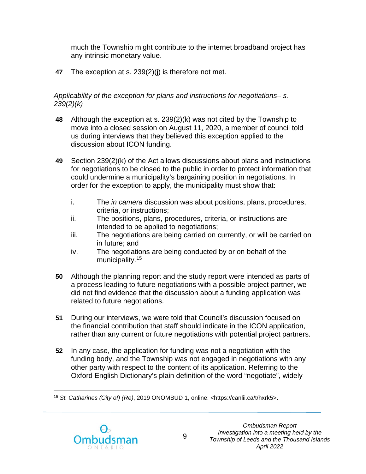much the Township might contribute to the internet broadband project has any intrinsic monetary value.

**47** The exception at s. 239(2)(j) is therefore not met.

#### *Applicability of the exception for plans and instructions for negotiations– s. 239(2)(k)*

- **48** Although the exception at s. 239(2)(k) was not cited by the Township to move into a closed session on August 11, 2020, a member of council told us during interviews that they believed this exception applied to the discussion about ICON funding.
- **49** Section 239(2)(k) of the Act allows discussions about plans and instructions for negotiations to be closed to the public in order to protect information that could undermine a municipality's bargaining position in negotiations. In order for the exception to apply, the municipality must show that:
	- i. The *in camera* discussion was about positions, plans, procedures, criteria, or instructions;
	- ii. The positions, plans, procedures, criteria, or instructions are intended to be applied to negotiations;
	- iii. The negotiations are being carried on currently, or will be carried on in future; and
	- iv. The negotiations are being conducted by or on behalf of the municipality.<sup>[15](#page-9-0)</sup>
- **50** Although the planning report and the study report were intended as parts of a process leading to future negotiations with a possible project partner, we did not find evidence that the discussion about a funding application was related to future negotiations.
- **51** During our interviews, we were told that Council's discussion focused on the financial contribution that staff should indicate in the ICON application, rather than any current or future negotiations with potential project partners.
- **52** In any case, the application for funding was not a negotiation with the funding body, and the Township was not engaged in negotiations with any other party with respect to the content of its application. Referring to the Oxford English Dictionary's plain definition of the word "negotiate", widely

<span id="page-9-0"></span> $\overline{a}$ <sup>15</sup> *St. Catharines (City of) (Re)*, 2019 ONOMBUD 1, online: <https://canlii.ca/t/hxrk5>.

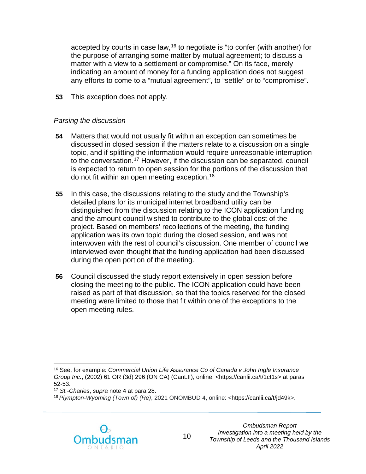accepted by courts in case law,<sup>[16](#page-10-0)</sup> to negotiate is "to confer (with another) for the purpose of arranging some matter by mutual agreement; to discuss a matter with a view to a settlement or compromise." On its face, merely indicating an amount of money for a funding application does not suggest any efforts to come to a "mutual agreement", to "settle" or to "compromise".

**53** This exception does not apply.

#### *Parsing the discussion*

- **54** Matters that would not usually fit within an exception can sometimes be discussed in closed session if the matters relate to a discussion on a single topic, and if splitting the information would require unreasonable interruption to the conversation.[17](#page-10-1) However, if the discussion can be separated, council is expected to return to open session for the portions of the discussion that do not fit within an open meeting exception.[18](#page-10-2)
- **55** In this case, the discussions relating to the study and the Township's detailed plans for its municipal internet broadband utility can be distinguished from the discussion relating to the ICON application funding and the amount council wished to contribute to the global cost of the project. Based on members' recollections of the meeting, the funding application was its own topic during the closed session, and was not interwoven with the rest of council's discussion. One member of council we interviewed even thought that the funding application had been discussed during the open portion of the meeting.
- **56** Council discussed the study report extensively in open session before closing the meeting to the public. The ICON application could have been raised as part of that discussion, so that the topics reserved for the closed meeting were limited to those that fit within one of the exceptions to the open meeting rules.

<span id="page-10-2"></span><sup>18</sup> *Plympton-Wyoming (Town of) (Re)*, 2021 ONOMBUD 4, online: <https://canlii.ca/t/jd49k>.



<span id="page-10-0"></span> $\overline{a}$ <sup>16</sup> See, for example: *Commercial Union Life Assurance Co of Canada v John Ingle Insurance Group Inc.*, (2002) 61 OR (3d) 296 (ON CA) (CanLII), online: <https://canlii.ca/t/1ct1s> at paras 52-53.

<span id="page-10-1"></span><sup>17</sup> *St.-Charles*, *supra* note 4 at para 28.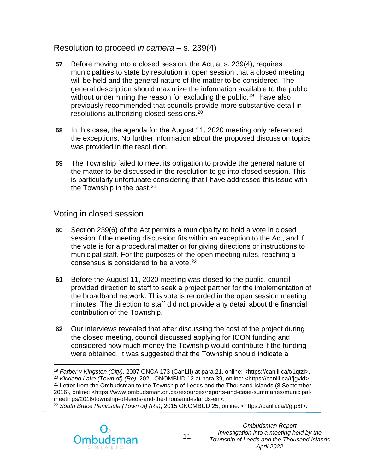#### Resolution to proceed *in camera* – s. 239(4)

- **57** Before moving into a closed session, the Act, at s. 239(4), requires municipalities to state by resolution in open session that a closed meeting will be held and the general nature of the matter to be considered. The general description should maximize the information available to the public without undermining the reason for excluding the public.<sup>[19](#page-11-0)</sup> I have also previously recommended that councils provide more substantive detail in resolutions authorizing closed sessions.[20](#page-11-1)
- **58** In this case, the agenda for the August 11, 2020 meeting only referenced the exceptions. No further information about the proposed discussion topics was provided in the resolution.
- **59** The Township failed to meet its obligation to provide the general nature of the matter to be discussed in the resolution to go into closed session. This is particularly unfortunate considering that I have addressed this issue with the Township in the past.  $21$

Voting in closed session

- **60** Section 239(6) of the Act permits a municipality to hold a vote in closed session if the meeting discussion fits within an exception to the Act, and if the vote is for a procedural matter or for giving directions or instructions to municipal staff. For the purposes of the open meeting rules, reaching a consensus is considered to be a vote.<sup>[22](#page-11-3)</sup>
- **61** Before the August 11, 2020 meeting was closed to the public, council provided direction to staff to seek a project partner for the implementation of the broadband network. This vote is recorded in the open session meeting minutes. The direction to staff did not provide any detail about the financial contribution of the Township.
- **62** Our interviews revealed that after discussing the cost of the project during the closed meeting, council discussed applying for ICON funding and considered how much money the Township would contribute if the funding were obtained. It was suggested that the Township should indicate a

<span id="page-11-3"></span><span id="page-11-2"></span><sup>22</sup> *South Bruce Peninsula (Town of) (Re)*, 2015 ONOMBUD 25, online: <https://canlii.ca/t/gtp6t>.



<span id="page-11-1"></span><span id="page-11-0"></span> $\overline{a}$ <sup>19</sup> *Farber v Kingston (City)*, 2007 ONCA 173 (CanLII) at para 21, online: <https://canlii.ca/t/1qtzl>. <sup>20</sup> *Kirkland Lake (Town of) (Re)*, 2021 ONOMBUD 12 at para 39, online: [<https://canlii.ca/t/jgvld>](https://canlii.ca/t/jgvld). <sup>21</sup> Letter from the Ombudsman to the Township of Leeds and the Thousand Islands (8 September 2016), online: <https://www.ombudsman.on.ca/resources/reports-and-case-summaries/municipalmeetings/2016/township-of-leeds-and-the-thousand-islands-en>.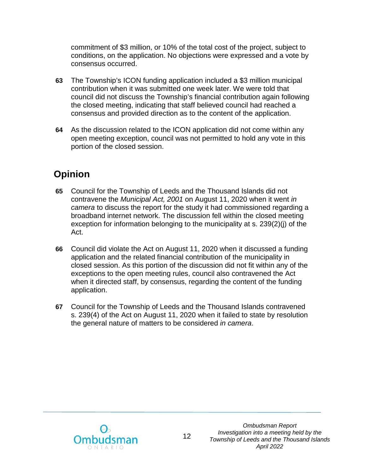commitment of \$3 million, or 10% of the total cost of the project, subject to conditions, on the application. No objections were expressed and a vote by consensus occurred.

- **63** The Township's ICON funding application included a \$3 million municipal contribution when it was submitted one week later. We were told that council did not discuss the Township's financial contribution again following the closed meeting, indicating that staff believed council had reached a consensus and provided direction as to the content of the application.
- **64** As the discussion related to the ICON application did not come within any open meeting exception, council was not permitted to hold any vote in this portion of the closed session.

# **Opinion**

- **65** Council for the Township of Leeds and the Thousand Islands did not contravene the *Municipal Act, 2001* on August 11, 2020 when it went *in camera* to discuss the report for the study it had commissioned regarding a broadband internet network. The discussion fell within the closed meeting exception for information belonging to the municipality at s. 239(2)(j) of the Act.
- **66** Council did violate the Act on August 11, 2020 when it discussed a funding application and the related financial contribution of the municipality in closed session. As this portion of the discussion did not fit within any of the exceptions to the open meeting rules, council also contravened the Act when it directed staff, by consensus, regarding the content of the funding application.
- **67** Council for the Township of Leeds and the Thousand Islands contravened s. 239(4) of the Act on August 11, 2020 when it failed to state by resolution the general nature of matters to be considered *in camera*.

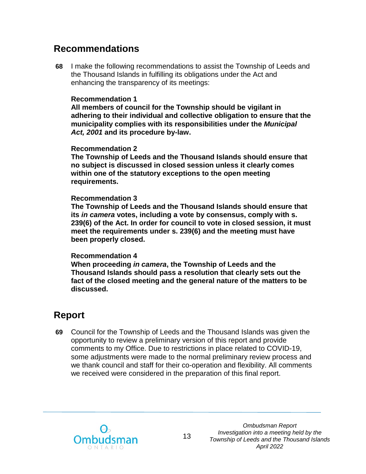### **Recommendations**

**68** I make the following recommendations to assist the Township of Leeds and the Thousand Islands in fulfilling its obligations under the Act and enhancing the transparency of its meetings:

#### **Recommendation 1**

**All members of council for the Township should be vigilant in adhering to their individual and collective obligation to ensure that the municipality complies with its responsibilities under the** *Municipal Act, 2001* **and its procedure by-law.**

#### **Recommendation 2**

**The Township of Leeds and the Thousand Islands should ensure that no subject is discussed in closed session unless it clearly comes within one of the statutory exceptions to the open meeting requirements.**

#### **Recommendation 3**

**The Township of Leeds and the Thousand Islands should ensure that its** *in camera* **votes, including a vote by consensus, comply with s. 239(6) of the Act. In order for council to vote in closed session, it must meet the requirements under s. 239(6) and the meeting must have been properly closed.**

#### **Recommendation 4**

**When proceeding** *in camera***, the Township of Leeds and the Thousand Islands should pass a resolution that clearly sets out the fact of the closed meeting and the general nature of the matters to be discussed.**

## **Report**

**69** Council for the Township of Leeds and the Thousand Islands was given the opportunity to review a preliminary version of this report and provide comments to my Office. Due to restrictions in place related to COVID-19, some adjustments were made to the normal preliminary review process and we thank council and staff for their co-operation and flexibility. All comments we received were considered in the preparation of this final report.